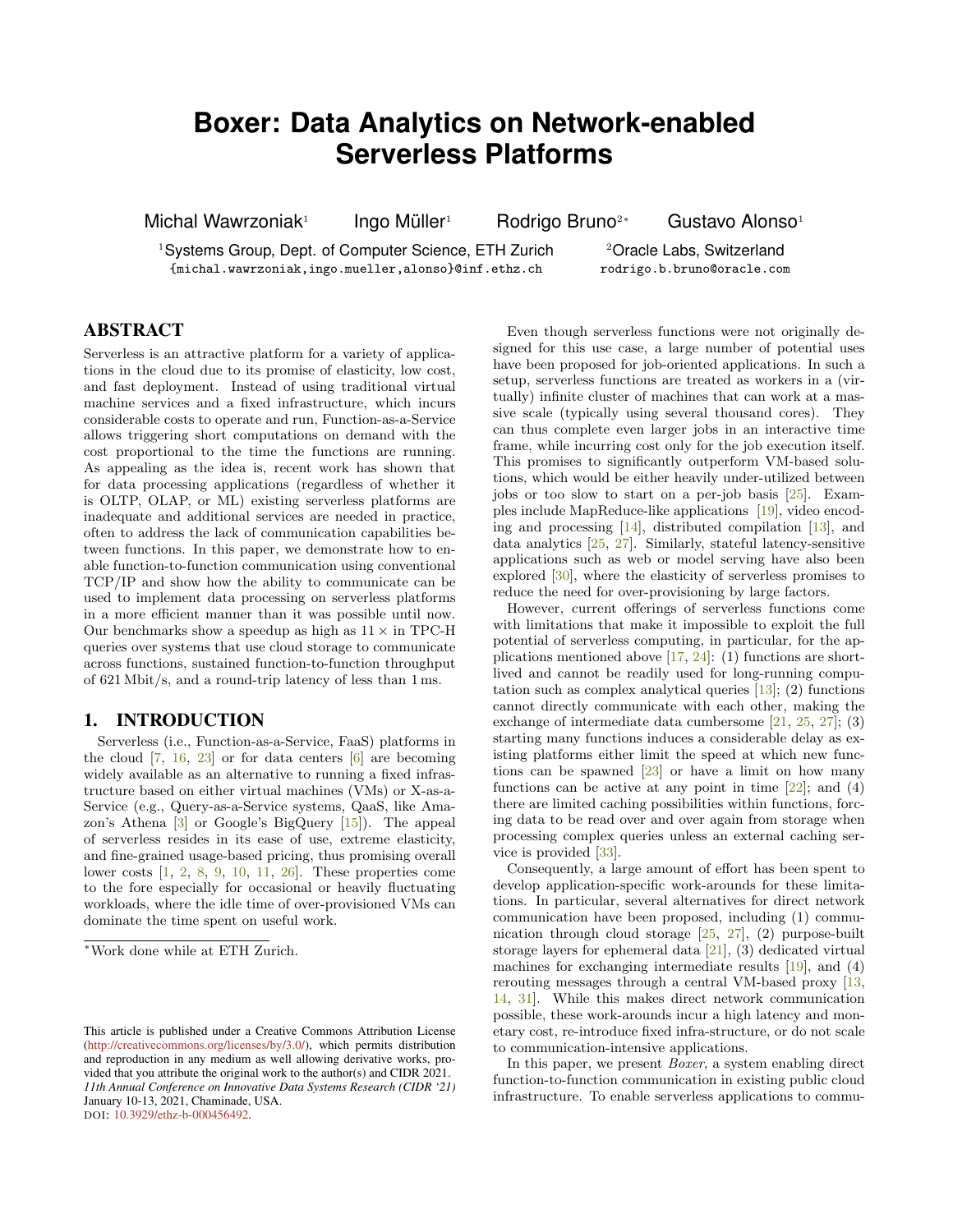# **Boxer: Data Analytics on Network-enabled Serverless Platforms**

Michal Wawrzoniak<sup>1</sup>

Ingo Müller<sup>1</sup> Rodrigo Bruno<sup>2</sup><sup>∗</sup> Gustavo Alonso<sup>1</sup>

<sup>1</sup>Systems Group, Dept. of Computer Science, ETH Zurich {michal.wawrzoniak,ingo.mueller,alonso}@inf.ethz.ch

<sup>2</sup>Oracle Labs, Switzerland rodrigo.b.bruno@oracle.com

# ABSTRACT

Serverless is an attractive platform for a variety of applications in the cloud due to its promise of elasticity, low cost, and fast deployment. Instead of using traditional virtual machine services and a fixed infrastructure, which incurs considerable costs to operate and run, Function-as-a-Service allows triggering short computations on demand with the cost proportional to the time the functions are running. As appealing as the idea is, recent work has shown that for data processing applications (regardless of whether it is OLTP, OLAP, or ML) existing serverless platforms are inadequate and additional services are needed in practice, often to address the lack of communication capabilities between functions. In this paper, we demonstrate how to enable function-to-function communication using conventional TCP/IP and show how the ability to communicate can be used to implement data processing on serverless platforms in a more efficient manner than it was possible until now. Our benchmarks show a speedup as high as  $11 \times$  in TPC-H queries over systems that use cloud storage to communicate across functions, sustained function-to-function throughput of 621 Mbit/s, and a round-trip latency of less than 1 ms.

# 1. INTRODUCTION

Serverless (i.e., Function-as-a-Service, FaaS) platforms in the cloud  $[7, 16, 23]$  $[7, 16, 23]$  $[7, 16, 23]$  $[7, 16, 23]$  $[7, 16, 23]$  or for data centers  $[6]$  are becoming widely available as an alternative to running a fixed infrastructure based on either virtual machines (VMs) or X-as-a-Service (e.g., Query-as-a-Service systems, QaaS, like Amazon's Athena [\[3\]](#page-6-3) or Google's BigQuery [\[15\]](#page-6-4)). The appeal of serverless resides in its ease of use, extreme elasticity, and fine-grained usage-based pricing, thus promising overall lower costs [\[1,](#page-6-5) [2,](#page-6-6) [8,](#page-6-7) [9,](#page-6-8) [10,](#page-6-9) [11,](#page-6-10) [26\]](#page-7-1). These properties come to the fore especially for occasional or heavily fluctuating workloads, where the idle time of over-provisioned VMs can dominate the time spent on useful work.

Even though serverless functions were not originally designed for this use case, a large number of potential uses have been proposed for job-oriented applications. In such a setup, serverless functions are treated as workers in a (virtually) infinite cluster of machines that can work at a massive scale (typically using several thousand cores). They can thus complete even larger jobs in an interactive time frame, while incurring cost only for the job execution itself. This promises to significantly outperform VM-based solutions, which would be either heavily under-utilized between jobs or too slow to start on a per-job basis [\[25\]](#page-7-2). Examples include MapReduce-like applications [\[19\]](#page-6-11), video encoding and processing  $[14]$ , distributed compilation  $[13]$ , and data analytics [\[25,](#page-7-2) [27\]](#page-7-3). Similarly, stateful latency-sensitive applications such as web or model serving have also been explored [\[30\]](#page-7-4), where the elasticity of serverless promises to reduce the need for over-provisioning by large factors.

However, current offerings of serverless functions come with limitations that make it impossible to exploit the full potential of serverless computing, in particular, for the applications mentioned above  $[17, 24]$  $[17, 24]$  $[17, 24]$ : (1) functions are shortlived and cannot be readily used for long-running computation such as complex analytical queries  $[13]$ ; (2) functions cannot directly communicate with each other, making the exchange of intermediate data cumbersome [\[21,](#page-7-6) [25,](#page-7-2) [27\]](#page-7-3); (3) starting many functions induces a considerable delay as existing platforms either limit the speed at which new functions can be spawned  $[23]$  or have a limit on how many functions can be active at any point in time  $[22]$ ; and  $(4)$ there are limited caching possibilities within functions, forcing data to be read over and over again from storage when processing complex queries unless an external caching service is provided [\[33\]](#page-7-8).

Consequently, a large amount of effort has been spent to develop application-specific work-arounds for these limitations. In particular, several alternatives for direct network communication have been proposed, including (1) communication through cloud storage [\[25,](#page-7-2) [27\]](#page-7-3), (2) purpose-built storage layers for ephemeral data [\[21\]](#page-7-6), (3) dedicated virtual machines for exchanging intermediate results [\[19\]](#page-6-11), and (4) rerouting messages through a central VM-based proxy [\[13,](#page-6-13) [14,](#page-6-12) [31\]](#page-7-9). While this makes direct network communication possible, these work-arounds incur a high latency and monetary cost, re-introduce fixed infra-structure, or do not scale to communication-intensive applications.

In this paper, we present *Boxer*, a system enabling direct function-to-function communication in existing public cloud infrastructure. To enable serverless applications to commu-

<sup>∗</sup>Work done while at ETH Zurich.

This article is published under a Creative Commons Attribution License [\(http://creativecommons.org/licenses/by/3.0/\)](http://creativecommons.org/licenses/by/3.0/), which permits distribution and reproduction in any medium as well allowing derivative works, provided that you attribute the original work to the author(s) and CIDR 2021. *11th Annual Conference on Innovative Data Systems Research (CIDR '21)* January 10-13, 2021, Chaminade, USA. DOI: [10.3929/ethz-b-000456492.](https://doi.org/10.3929/ethz-b-000456492)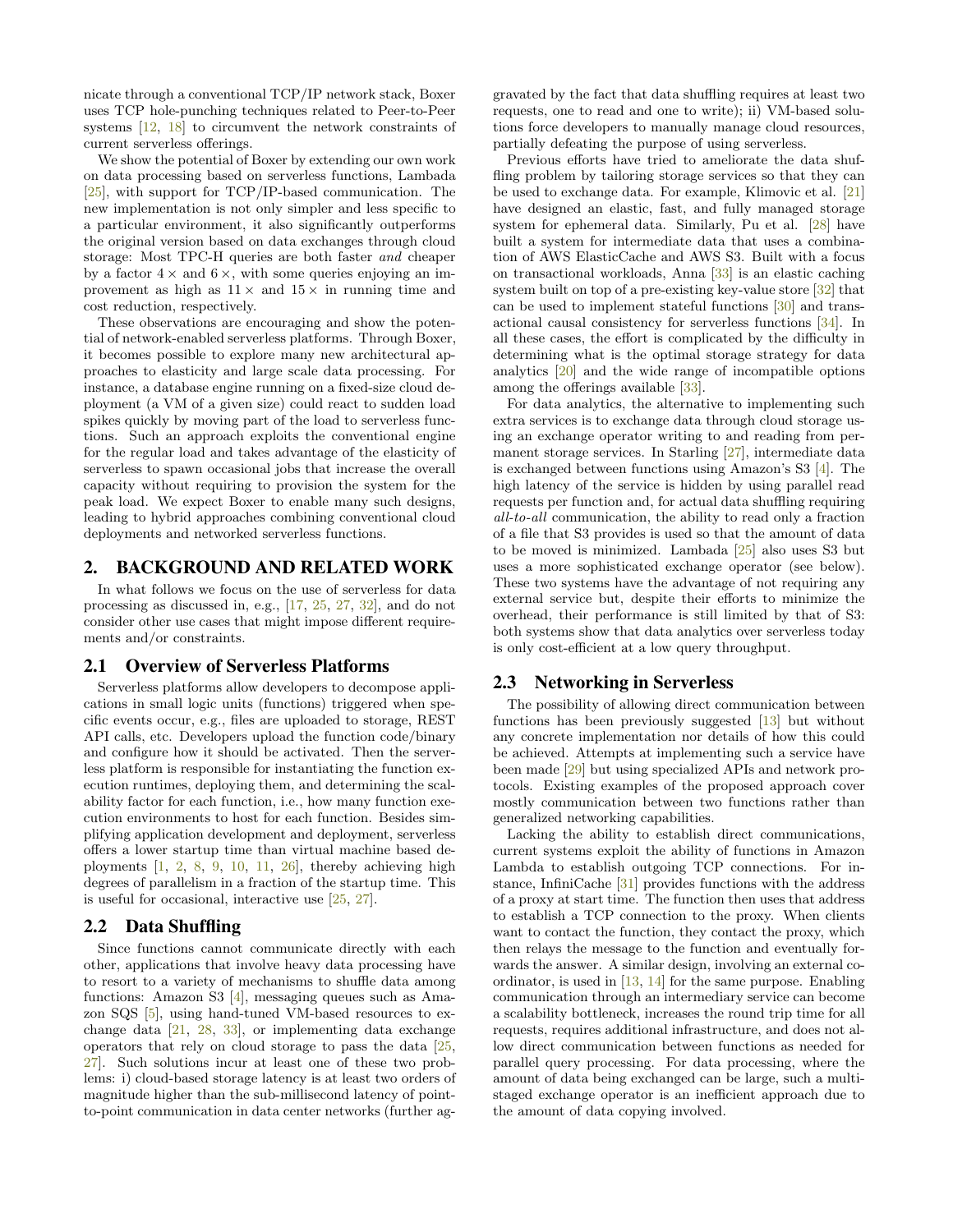nicate through a conventional TCP/IP network stack, Boxer uses TCP hole-punching techniques related to Peer-to-Peer systems [\[12,](#page-6-15) [18\]](#page-6-16) to circumvent the network constraints of current serverless offerings.

We show the potential of Boxer by extending our own work on data processing based on serverless functions, Lambada [\[25\]](#page-7-2), with support for TCP/IP-based communication. The new implementation is not only simpler and less specific to a particular environment, it also significantly outperforms the original version based on data exchanges through cloud storage: Most TPC-H queries are both faster and cheaper by a factor  $4 \times$  and  $6 \times$ , with some queries enjoying an improvement as high as  $11 \times$  and  $15 \times$  in running time and cost reduction, respectively.

These observations are encouraging and show the potential of network-enabled serverless platforms. Through Boxer, it becomes possible to explore many new architectural approaches to elasticity and large scale data processing. For instance, a database engine running on a fixed-size cloud deployment (a VM of a given size) could react to sudden load spikes quickly by moving part of the load to serverless functions. Such an approach exploits the conventional engine for the regular load and takes advantage of the elasticity of serverless to spawn occasional jobs that increase the overall capacity without requiring to provision the system for the peak load. We expect Boxer to enable many such designs, leading to hybrid approaches combining conventional cloud deployments and networked serverless functions.

# 2. BACKGROUND AND RELATED WORK

In what follows we focus on the use of serverless for data processing as discussed in, e.g., [\[17,](#page-6-14) [25,](#page-7-2) [27,](#page-7-3) [32\]](#page-7-10), and do not consider other use cases that might impose different requirements and/or constraints.

#### 2.1 Overview of Serverless Platforms

Serverless platforms allow developers to decompose applications in small logic units (functions) triggered when specific events occur, e.g., files are uploaded to storage, REST API calls, etc. Developers upload the function code/binary and configure how it should be activated. Then the serverless platform is responsible for instantiating the function execution runtimes, deploying them, and determining the scalability factor for each function, i.e., how many function execution environments to host for each function. Besides simplifying application development and deployment, serverless offers a lower startup time than virtual machine based deployments  $\begin{bmatrix} 1, 2, 8, 9, 10, 11, 26 \end{bmatrix}$  $\begin{bmatrix} 1, 2, 8, 9, 10, 11, 26 \end{bmatrix}$  $\begin{bmatrix} 1, 2, 8, 9, 10, 11, 26 \end{bmatrix}$  $\begin{bmatrix} 1, 2, 8, 9, 10, 11, 26 \end{bmatrix}$  $\begin{bmatrix} 1, 2, 8, 9, 10, 11, 26 \end{bmatrix}$  $\begin{bmatrix} 1, 2, 8, 9, 10, 11, 26 \end{bmatrix}$  $\begin{bmatrix} 1, 2, 8, 9, 10, 11, 26 \end{bmatrix}$  $\begin{bmatrix} 1, 2, 8, 9, 10, 11, 26 \end{bmatrix}$  $\begin{bmatrix} 1, 2, 8, 9, 10, 11, 26 \end{bmatrix}$  $\begin{bmatrix} 1, 2, 8, 9, 10, 11, 26 \end{bmatrix}$  $\begin{bmatrix} 1, 2, 8, 9, 10, 11, 26 \end{bmatrix}$ , thereby achieving high degrees of parallelism in a fraction of the startup time. This is useful for occasional, interactive use [\[25,](#page-7-2) [27\]](#page-7-3).

#### 2.2 Data Shuffling

Since functions cannot communicate directly with each other, applications that involve heavy data processing have to resort to a variety of mechanisms to shuffle data among functions: Amazon S3 [\[4\]](#page-6-17), messaging queues such as Amazon SQS [\[5\]](#page-6-18), using hand-tuned VM-based resources to exchange data [\[21,](#page-7-6) [28,](#page-7-11) [33\]](#page-7-8), or implementing data exchange operators that rely on cloud storage to pass the data [\[25,](#page-7-2) [27\]](#page-7-3). Such solutions incur at least one of these two problems: i) cloud-based storage latency is at least two orders of magnitude higher than the sub-millisecond latency of pointto-point communication in data center networks (further aggravated by the fact that data shuffling requires at least two requests, one to read and one to write); ii) VM-based solutions force developers to manually manage cloud resources, partially defeating the purpose of using serverless.

Previous efforts have tried to ameliorate the data shuffling problem by tailoring storage services so that they can be used to exchange data. For example, Klimovic et al. [\[21\]](#page-7-6) have designed an elastic, fast, and fully managed storage system for ephemeral data. Similarly, Pu et al. [\[28\]](#page-7-11) have built a system for intermediate data that uses a combination of AWS ElasticCache and AWS S3. Built with a focus on transactional workloads, Anna [\[33\]](#page-7-8) is an elastic caching system built on top of a pre-existing key-value store [\[32\]](#page-7-10) that can be used to implement stateful functions [\[30\]](#page-7-4) and transactional causal consistency for serverless functions [\[34\]](#page-7-12). In all these cases, the effort is complicated by the difficulty in determining what is the optimal storage strategy for data analytics [\[20\]](#page-6-19) and the wide range of incompatible options among the offerings available [\[33\]](#page-7-8).

For data analytics, the alternative to implementing such extra services is to exchange data through cloud storage using an exchange operator writing to and reading from permanent storage services. In Starling [\[27\]](#page-7-3), intermediate data is exchanged between functions using Amazon's S3 [\[4\]](#page-6-17). The high latency of the service is hidden by using parallel read requests per function and, for actual data shuffling requiring all-to-all communication, the ability to read only a fraction of a file that S3 provides is used so that the amount of data to be moved is minimized. Lambada [\[25\]](#page-7-2) also uses S3 but uses a more sophisticated exchange operator (see below). These two systems have the advantage of not requiring any external service but, despite their efforts to minimize the overhead, their performance is still limited by that of S3: both systems show that data analytics over serverless today is only cost-efficient at a low query throughput.

# 2.3 Networking in Serverless

The possibility of allowing direct communication between functions has been previously suggested  $\left[13\right]$  but without any concrete implementation nor details of how this could be achieved. Attempts at implementing such a service have been made [\[29\]](#page-7-13) but using specialized APIs and network protocols. Existing examples of the proposed approach cover mostly communication between two functions rather than generalized networking capabilities.

Lacking the ability to establish direct communications, current systems exploit the ability of functions in Amazon Lambda to establish outgoing TCP connections. For instance, InfiniCache [\[31\]](#page-7-9) provides functions with the address of a proxy at start time. The function then uses that address to establish a TCP connection to the proxy. When clients want to contact the function, they contact the proxy, which then relays the message to the function and eventually forwards the answer. A similar design, involving an external coordinator, is used in [\[13,](#page-6-13) [14\]](#page-6-12) for the same purpose. Enabling communication through an intermediary service can become a scalability bottleneck, increases the round trip time for all requests, requires additional infrastructure, and does not allow direct communication between functions as needed for parallel query processing. For data processing, where the amount of data being exchanged can be large, such a multistaged exchange operator is an inefficient approach due to the amount of data copying involved.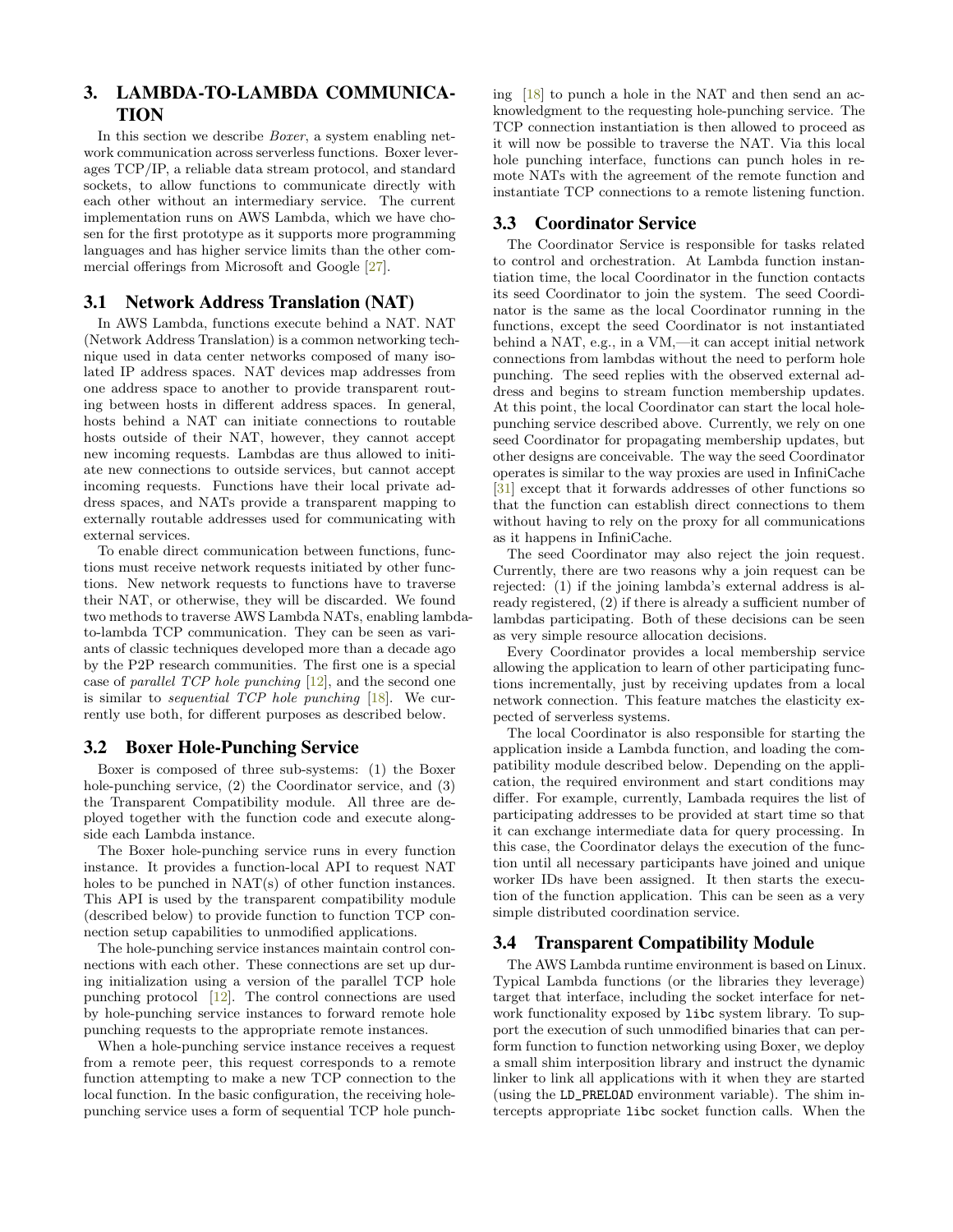# 3. LAMBDA-TO-LAMBDA COMMUNICA-TION

In this section we describe Boxer, a system enabling network communication across serverless functions. Boxer leverages TCP/IP, a reliable data stream protocol, and standard sockets, to allow functions to communicate directly with each other without an intermediary service. The current implementation runs on AWS Lambda, which we have chosen for the first prototype as it supports more programming languages and has higher service limits than the other commercial offerings from Microsoft and Google [\[27\]](#page-7-3).

## 3.1 Network Address Translation (NAT)

In AWS Lambda, functions execute behind a NAT. NAT (Network Address Translation) is a common networking technique used in data center networks composed of many isolated IP address spaces. NAT devices map addresses from one address space to another to provide transparent routing between hosts in different address spaces. In general, hosts behind a NAT can initiate connections to routable hosts outside of their NAT, however, they cannot accept new incoming requests. Lambdas are thus allowed to initiate new connections to outside services, but cannot accept incoming requests. Functions have their local private address spaces, and NATs provide a transparent mapping to externally routable addresses used for communicating with external services.

To enable direct communication between functions, functions must receive network requests initiated by other functions. New network requests to functions have to traverse their NAT, or otherwise, they will be discarded. We found two methods to traverse AWS Lambda NATs, enabling lambdato-lambda TCP communication. They can be seen as variants of classic techniques developed more than a decade ago by the P2P research communities. The first one is a special case of parallel TCP hole punching [\[12\]](#page-6-15), and the second one is similar to *sequential TCP hole punching*  $[18]$ . We currently use both, for different purposes as described below.

# 3.2 Boxer Hole-Punching Service

Boxer is composed of three sub-systems: (1) the Boxer hole-punching service, (2) the Coordinator service, and (3) the Transparent Compatibility module. All three are deployed together with the function code and execute alongside each Lambda instance.

The Boxer hole-punching service runs in every function instance. It provides a function-local API to request NAT holes to be punched in NAT(s) of other function instances. This API is used by the transparent compatibility module (described below) to provide function to function TCP connection setup capabilities to unmodified applications.

The hole-punching service instances maintain control connections with each other. These connections are set up during initialization using a version of the parallel TCP hole punching protocol [\[12\]](#page-6-15). The control connections are used by hole-punching service instances to forward remote hole punching requests to the appropriate remote instances.

When a hole-punching service instance receives a request from a remote peer, this request corresponds to a remote function attempting to make a new TCP connection to the local function. In the basic configuration, the receiving holepunching service uses a form of sequential TCP hole punching  $[18]$  to punch a hole in the NAT and then send an acknowledgment to the requesting hole-punching service. The TCP connection instantiation is then allowed to proceed as it will now be possible to traverse the NAT. Via this local hole punching interface, functions can punch holes in remote NATs with the agreement of the remote function and instantiate TCP connections to a remote listening function.

# 3.3 Coordinator Service

The Coordinator Service is responsible for tasks related to control and orchestration. At Lambda function instantiation time, the local Coordinator in the function contacts its seed Coordinator to join the system. The seed Coordinator is the same as the local Coordinator running in the functions, except the seed Coordinator is not instantiated behind a NAT, e.g., in a VM,—it can accept initial network connections from lambdas without the need to perform hole punching. The seed replies with the observed external address and begins to stream function membership updates. At this point, the local Coordinator can start the local holepunching service described above. Currently, we rely on one seed Coordinator for propagating membership updates, but other designs are conceivable. The way the seed Coordinator operates is similar to the way proxies are used in InfiniCache [\[31\]](#page-7-9) except that it forwards addresses of other functions so that the function can establish direct connections to them without having to rely on the proxy for all communications as it happens in InfiniCache.

The seed Coordinator may also reject the join request. Currently, there are two reasons why a join request can be rejected: (1) if the joining lambda's external address is already registered, (2) if there is already a sufficient number of lambdas participating. Both of these decisions can be seen as very simple resource allocation decisions.

Every Coordinator provides a local membership service allowing the application to learn of other participating functions incrementally, just by receiving updates from a local network connection. This feature matches the elasticity expected of serverless systems.

The local Coordinator is also responsible for starting the application inside a Lambda function, and loading the compatibility module described below. Depending on the application, the required environment and start conditions may differ. For example, currently, Lambada requires the list of participating addresses to be provided at start time so that it can exchange intermediate data for query processing. In this case, the Coordinator delays the execution of the function until all necessary participants have joined and unique worker IDs have been assigned. It then starts the execution of the function application. This can be seen as a very simple distributed coordination service.

# 3.4 Transparent Compatibility Module

The AWS Lambda runtime environment is based on Linux. Typical Lambda functions (or the libraries they leverage) target that interface, including the socket interface for network functionality exposed by libc system library. To support the execution of such unmodified binaries that can perform function to function networking using Boxer, we deploy a small shim interposition library and instruct the dynamic linker to link all applications with it when they are started (using the LD\_PRELOAD environment variable). The shim intercepts appropriate libc socket function calls. When the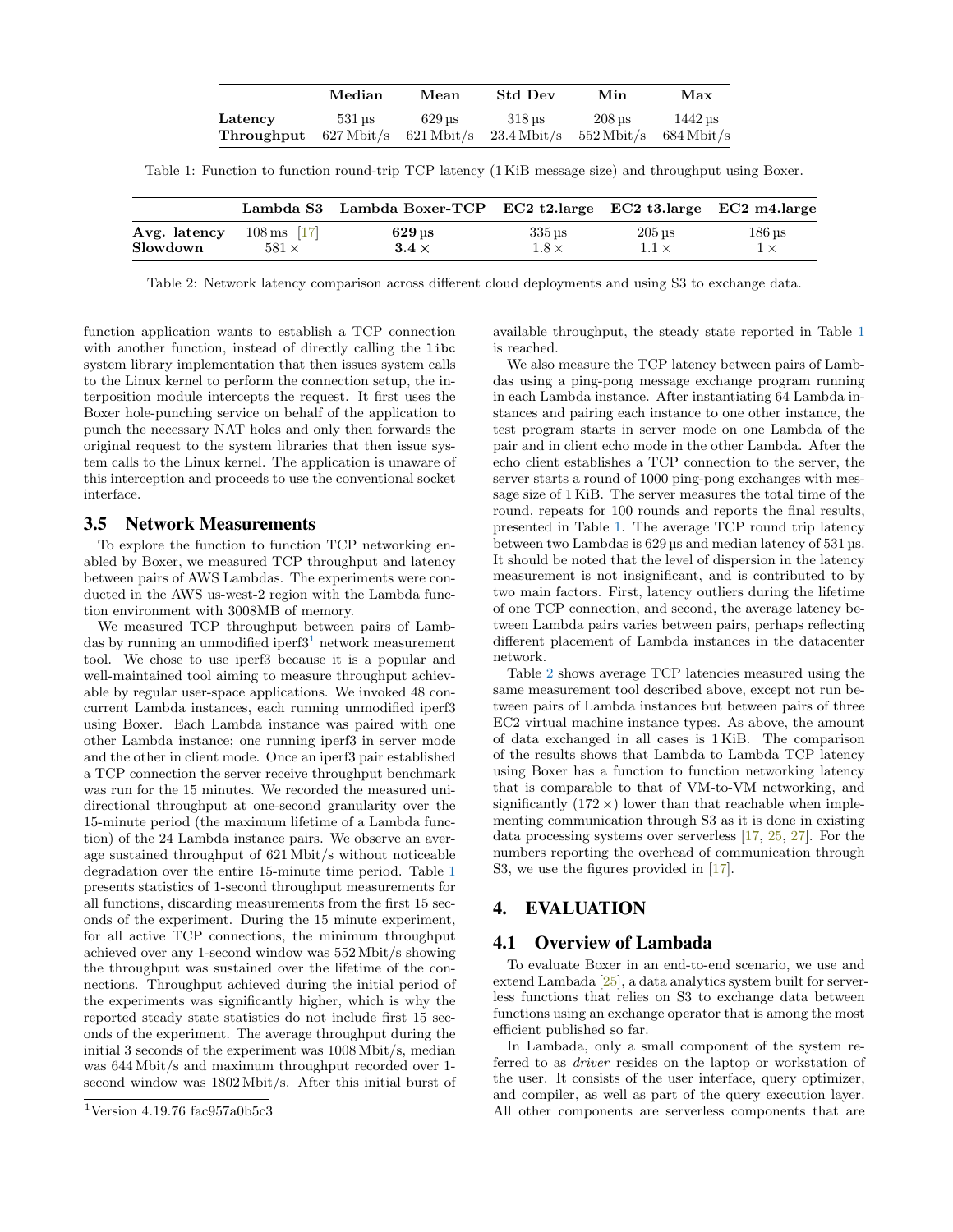|            | Median              | Mean                               | Std Dev                 | Min                      | Max                  |
|------------|---------------------|------------------------------------|-------------------------|--------------------------|----------------------|
| Latency    | $531 \,\mathrm{us}$ | 629 us                             | 318 us                  | 208 us                   | $1442 \,\mathrm{us}$ |
| Throughput |                     | $627 \,\mathrm{Mbit/s}$ 621 Mbit/s | $23.4\,\mathrm{Mbit/s}$ | $552 \, \mathrm{Mbit/s}$ | $684 \text{ Mbit/s}$ |

<span id="page-3-1"></span>Table 1: Function to function round-trip TCP latency (1 KiB message size) and throughput using Boxer.

<span id="page-3-2"></span>

|              |                          | Lambda S3 Lambda Boxer-TCP EC2 t2.large EC2 t3.large EC2 m4.large |                     |                     |                     |
|--------------|--------------------------|-------------------------------------------------------------------|---------------------|---------------------|---------------------|
| Avg. latency | $108 \,\mathrm{ms}$ [17] | $629$ us                                                          | $335 \,\mathrm{us}$ | $205 \,\mathrm{us}$ | $186 \,\mathrm{µs}$ |
| Slowdown     | $581 \times$             | $3.4 \times$                                                      | $1.8\times$         | $1.1 \times$        | $1\times$           |

Table 2: Network latency comparison across different cloud deployments and using S3 to exchange data.

function application wants to establish a TCP connection with another function, instead of directly calling the libc system library implementation that then issues system calls to the Linux kernel to perform the connection setup, the interposition module intercepts the request. It first uses the Boxer hole-punching service on behalf of the application to punch the necessary NAT holes and only then forwards the original request to the system libraries that then issue system calls to the Linux kernel. The application is unaware of this interception and proceeds to use the conventional socket interface.

#### 3.5 Network Measurements

To explore the function to function TCP networking enabled by Boxer, we measured TCP throughput and latency between pairs of AWS Lambdas. The experiments were conducted in the AWS us-west-2 region with the Lambda function environment with 3008MB of memory.

We measured TCP throughput between pairs of Lambdas by running an unmodified iperf $3<sup>1</sup>$  $3<sup>1</sup>$  $3<sup>1</sup>$  network measurement tool. We chose to use iperf3 because it is a popular and well-maintained tool aiming to measure throughput achievable by regular user-space applications. We invoked 48 concurrent Lambda instances, each running unmodified iperf3 using Boxer. Each Lambda instance was paired with one other Lambda instance; one running iperf3 in server mode and the other in client mode. Once an iperf3 pair established a TCP connection the server receive throughput benchmark was run for the 15 minutes. We recorded the measured unidirectional throughput at one-second granularity over the 15-minute period (the maximum lifetime of a Lambda function) of the 24 Lambda instance pairs. We observe an average sustained throughput of 621 Mbit/s without noticeable degradation over the entire 15-minute time period. Table [1](#page-3-1) presents statistics of 1-second throughput measurements for all functions, discarding measurements from the first 15 seconds of the experiment. During the 15 minute experiment, for all active TCP connections, the minimum throughput achieved over any 1-second window was 552 Mbit/s showing the throughput was sustained over the lifetime of the connections. Throughput achieved during the initial period of the experiments was significantly higher, which is why the reported steady state statistics do not include first 15 seconds of the experiment. The average throughput during the initial 3 seconds of the experiment was 1008 Mbit/s, median was 644 Mbit/s and maximum throughput recorded over 1 second window was 1802 Mbit/s. After this initial burst of

available throughput, the steady state reported in Table [1](#page-3-1) is reached.

We also measure the TCP latency between pairs of Lambdas using a ping-pong message exchange program running in each Lambda instance. After instantiating 64 Lambda instances and pairing each instance to one other instance, the test program starts in server mode on one Lambda of the pair and in client echo mode in the other Lambda. After the echo client establishes a TCP connection to the server, the server starts a round of 1000 ping-pong exchanges with message size of 1 KiB. The server measures the total time of the round, repeats for 100 rounds and reports the final results, presented in Table [1.](#page-3-1) The average TCP round trip latency between two Lambdas is 629 µs and median latency of 531 µs. It should be noted that the level of dispersion in the latency measurement is not insignificant, and is contributed to by two main factors. First, latency outliers during the lifetime of one TCP connection, and second, the average latency between Lambda pairs varies between pairs, perhaps reflecting different placement of Lambda instances in the datacenter network.

Table [2](#page-3-2) shows average TCP latencies measured using the same measurement tool described above, except not run between pairs of Lambda instances but between pairs of three EC2 virtual machine instance types. As above, the amount of data exchanged in all cases is 1 KiB. The comparison of the results shows that Lambda to Lambda TCP latency using Boxer has a function to function networking latency that is comparable to that of VM-to-VM networking, and significantly  $(172 \times)$  lower than that reachable when implementing communication through S3 as it is done in existing data processing systems over serverless [\[17,](#page-6-14) [25,](#page-7-2) [27\]](#page-7-3). For the numbers reporting the overhead of communication through S3, we use the figures provided in [\[17\]](#page-6-14).

# 4. EVALUATION

#### 4.1 Overview of Lambada

To evaluate Boxer in an end-to-end scenario, we use and extend Lambada [\[25\]](#page-7-2), a data analytics system built for serverless functions that relies on S3 to exchange data between functions using an exchange operator that is among the most efficient published so far.

In Lambada, only a small component of the system referred to as driver resides on the laptop or workstation of the user. It consists of the user interface, query optimizer, and compiler, as well as part of the query execution layer. All other components are serverless components that are

<span id="page-3-0"></span><sup>&</sup>lt;sup>1</sup>Version 4.19.76 fac957a0b5c3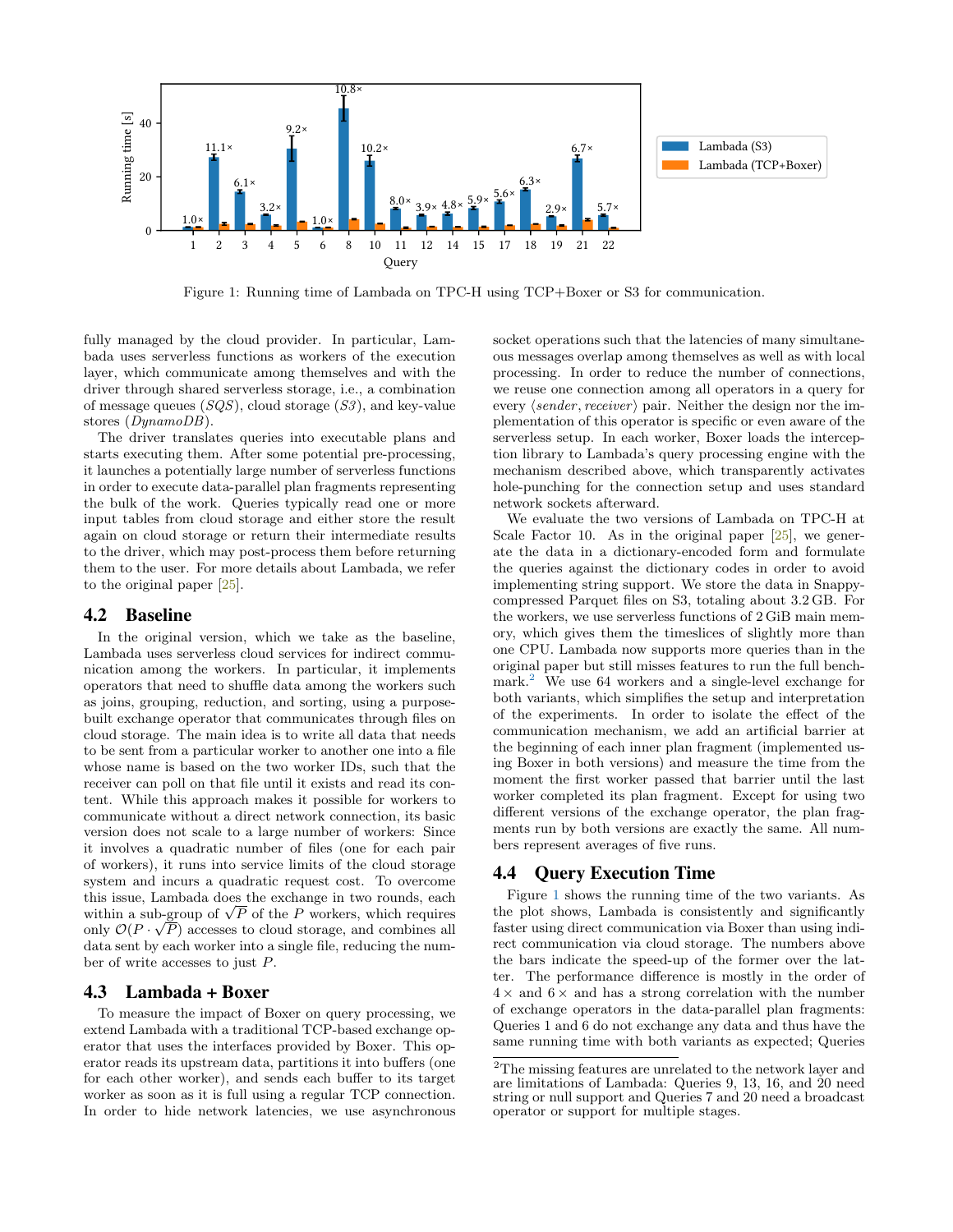<span id="page-4-1"></span>

Figure 1: Running time of Lambada on TPC-H using TCP+Boxer or S3 for communication.

fully managed by the cloud provider. In particular, Lambada uses serverless functions as workers of the execution layer, which communicate among themselves and with the driver through shared serverless storage, i.e., a combination of message queues  $(SQS)$ , cloud storage  $(S3)$ , and key-value stores (DynamoDB).

The driver translates queries into executable plans and starts executing them. After some potential pre-processing, it launches a potentially large number of serverless functions in order to execute data-parallel plan fragments representing the bulk of the work. Queries typically read one or more input tables from cloud storage and either store the result again on cloud storage or return their intermediate results to the driver, which may post-process them before returning them to the user. For more details about Lambada, we refer to the original paper [\[25\]](#page-7-2).

## 4.2 Baseline

In the original version, which we take as the baseline, Lambada uses serverless cloud services for indirect communication among the workers. In particular, it implements operators that need to shuffle data among the workers such as joins, grouping, reduction, and sorting, using a purposebuilt exchange operator that communicates through files on cloud storage. The main idea is to write all data that needs to be sent from a particular worker to another one into a file whose name is based on the two worker IDs, such that the receiver can poll on that file until it exists and read its content. While this approach makes it possible for workers to communicate without a direct network connection, its basic version does not scale to a large number of workers: Since it involves a quadratic number of files (one for each pair of workers), it runs into service limits of the cloud storage system and incurs a quadratic request cost. To overcome this issue, Lambada does the exchange in two rounds, each this issue, Lambada does the exchange in two rounds, each within a sub-group of  $\sqrt{P}$  of the P workers, which requires only  $\mathcal{O}(P \cdot \sqrt{P})$  accesses to cloud storage, and combines all data sent by each worker into a single file, reducing the number of write accesses to just P.

# 4.3 Lambada + Boxer

To measure the impact of Boxer on query processing, we extend Lambada with a traditional TCP-based exchange operator that uses the interfaces provided by Boxer. This operator reads its upstream data, partitions it into buffers (one for each other worker), and sends each buffer to its target worker as soon as it is full using a regular TCP connection. In order to hide network latencies, we use asynchronous socket operations such that the latencies of many simultaneous messages overlap among themselves as well as with local processing. In order to reduce the number of connections, we reuse one connection among all operators in a query for every  $\langle sender, receiver \rangle$  pair. Neither the design nor the implementation of this operator is specific or even aware of the serverless setup. In each worker, Boxer loads the interception library to Lambada's query processing engine with the mechanism described above, which transparently activates hole-punching for the connection setup and uses standard network sockets afterward.

We evaluate the two versions of Lambada on TPC-H at Scale Factor 10. As in the original paper  $[25]$ , we generate the data in a dictionary-encoded form and formulate the queries against the dictionary codes in order to avoid implementing string support. We store the data in Snappycompressed Parquet files on S3, totaling about 3.2 GB. For the workers, we use serverless functions of 2 GiB main memory, which gives them the timeslices of slightly more than one CPU. Lambada now supports more queries than in the original paper but still misses features to run the full bench-mark.<sup>[2](#page-4-0)</sup> We use 64 workers and a single-level exchange for both variants, which simplifies the setup and interpretation of the experiments. In order to isolate the effect of the communication mechanism, we add an artificial barrier at the beginning of each inner plan fragment (implemented using Boxer in both versions) and measure the time from the moment the first worker passed that barrier until the last worker completed its plan fragment. Except for using two different versions of the exchange operator, the plan fragments run by both versions are exactly the same. All numbers represent averages of five runs.

#### 4.4 Query Execution Time

Figure [1](#page-4-1) shows the running time of the two variants. As the plot shows, Lambada is consistently and significantly faster using direct communication via Boxer than using indirect communication via cloud storage. The numbers above the bars indicate the speed-up of the former over the latter. The performance difference is mostly in the order of  $4 \times$  and  $6 \times$  and has a strong correlation with the number of exchange operators in the data-parallel plan fragments: Queries 1 and 6 do not exchange any data and thus have the same running time with both variants as expected; Queries

<span id="page-4-0"></span><sup>&</sup>lt;sup>2</sup>The missing features are unrelated to the network layer and are limitations of Lambada: Queries 9, 13, 16, and 20 need string or null support and Queries 7 and 20 need a broadcast operator or support for multiple stages.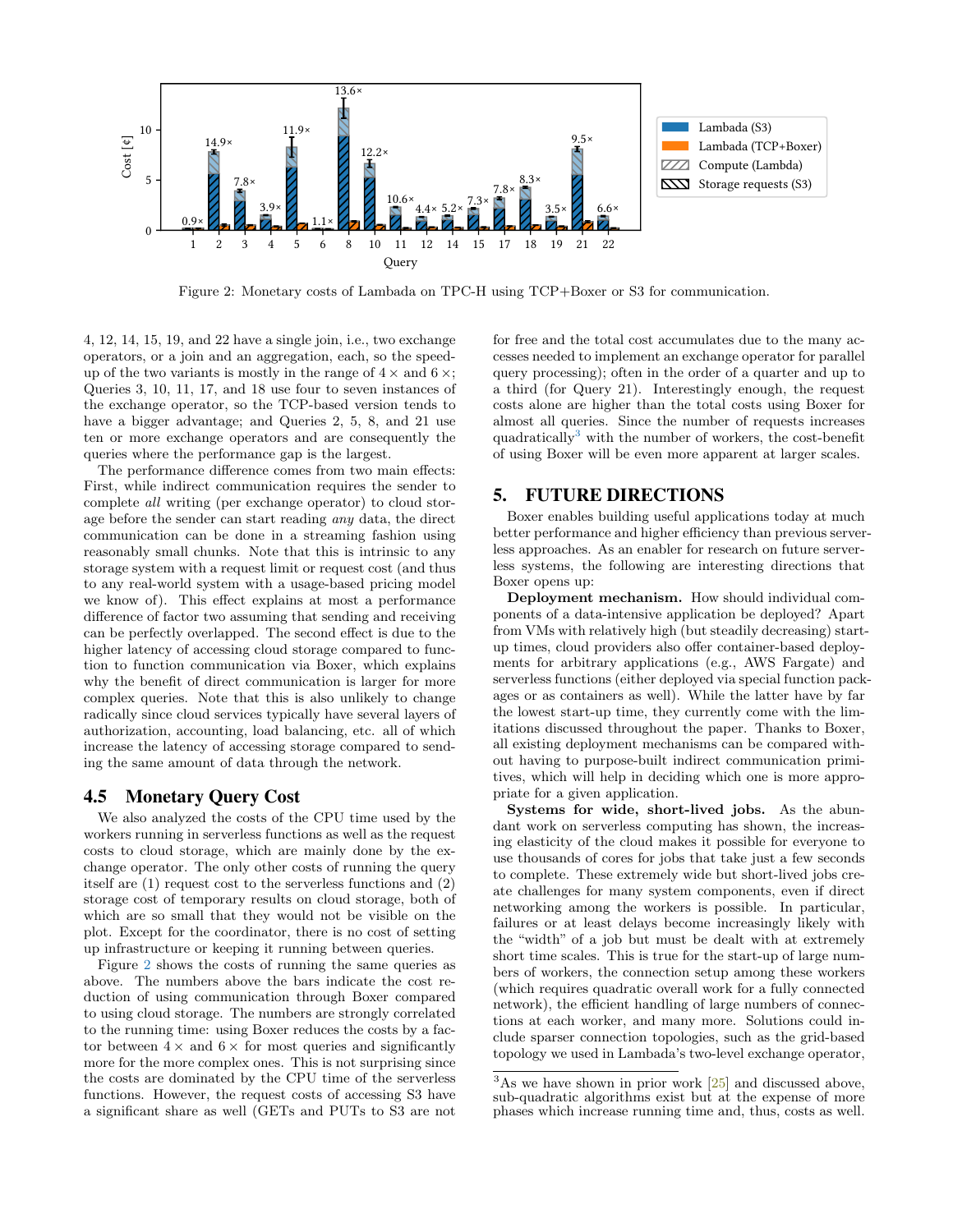<span id="page-5-0"></span>

Figure 2: Monetary costs of Lambada on TPC-H using TCP+Boxer or S3 for communication.

4, 12, 14, 15, 19, and 22 have a single join, i.e., two exchange operators, or a join and an aggregation, each, so the speedup of the two variants is mostly in the range of  $4 \times$  and  $6 \times$ ; Queries 3, 10, 11, 17, and 18 use four to seven instances of the exchange operator, so the TCP-based version tends to have a bigger advantage; and Queries 2, 5, 8, and 21 use ten or more exchange operators and are consequently the queries where the performance gap is the largest.

The performance difference comes from two main effects: First, while indirect communication requires the sender to complete all writing (per exchange operator) to cloud storage before the sender can start reading any data, the direct communication can be done in a streaming fashion using reasonably small chunks. Note that this is intrinsic to any storage system with a request limit or request cost (and thus to any real-world system with a usage-based pricing model we know of). This effect explains at most a performance difference of factor two assuming that sending and receiving can be perfectly overlapped. The second effect is due to the higher latency of accessing cloud storage compared to function to function communication via Boxer, which explains why the benefit of direct communication is larger for more complex queries. Note that this is also unlikely to change radically since cloud services typically have several layers of authorization, accounting, load balancing, etc. all of which increase the latency of accessing storage compared to sending the same amount of data through the network.

#### 4.5 Monetary Query Cost

We also analyzed the costs of the CPU time used by the workers running in serverless functions as well as the request costs to cloud storage, which are mainly done by the exchange operator. The only other costs of running the query itself are (1) request cost to the serverless functions and (2) storage cost of temporary results on cloud storage, both of which are so small that they would not be visible on the plot. Except for the coordinator, there is no cost of setting up infrastructure or keeping it running between queries.

Figure [2](#page-5-0) shows the costs of running the same queries as above. The numbers above the bars indicate the cost reduction of using communication through Boxer compared to using cloud storage. The numbers are strongly correlated to the running time: using Boxer reduces the costs by a factor between  $4 \times$  and  $6 \times$  for most queries and significantly more for the more complex ones. This is not surprising since the costs are dominated by the CPU time of the serverless functions. However, the request costs of accessing S3 have a significant share as well (GETs and PUTs to S3 are not

for free and the total cost accumulates due to the many accesses needed to implement an exchange operator for parallel query processing); often in the order of a quarter and up to a third (for Query 21). Interestingly enough, the request costs alone are higher than the total costs using Boxer for almost all queries. Since the number of requests increases quadratically[3](#page-5-1) with the number of workers, the cost-benefit of using Boxer will be even more apparent at larger scales.

## 5. FUTURE DIRECTIONS

Boxer enables building useful applications today at much better performance and higher efficiency than previous serverless approaches. As an enabler for research on future serverless systems, the following are interesting directions that Boxer opens up:

Deployment mechanism. How should individual components of a data-intensive application be deployed? Apart from VMs with relatively high (but steadily decreasing) startup times, cloud providers also offer container-based deployments for arbitrary applications (e.g., AWS Fargate) and serverless functions (either deployed via special function packages or as containers as well). While the latter have by far the lowest start-up time, they currently come with the limitations discussed throughout the paper. Thanks to Boxer, all existing deployment mechanisms can be compared without having to purpose-built indirect communication primitives, which will help in deciding which one is more appropriate for a given application.

Systems for wide, short-lived jobs. As the abundant work on serverless computing has shown, the increasing elasticity of the cloud makes it possible for everyone to use thousands of cores for jobs that take just a few seconds to complete. These extremely wide but short-lived jobs create challenges for many system components, even if direct networking among the workers is possible. In particular, failures or at least delays become increasingly likely with the "width" of a job but must be dealt with at extremely short time scales. This is true for the start-up of large numbers of workers, the connection setup among these workers (which requires quadratic overall work for a fully connected network), the efficient handling of large numbers of connections at each worker, and many more. Solutions could include sparser connection topologies, such as the grid-based topology we used in Lambada's two-level exchange operator,

<span id="page-5-1"></span> $3$ As we have shown in prior work  $[25]$  and discussed above, sub-quadratic algorithms exist but at the expense of more phases which increase running time and, thus, costs as well.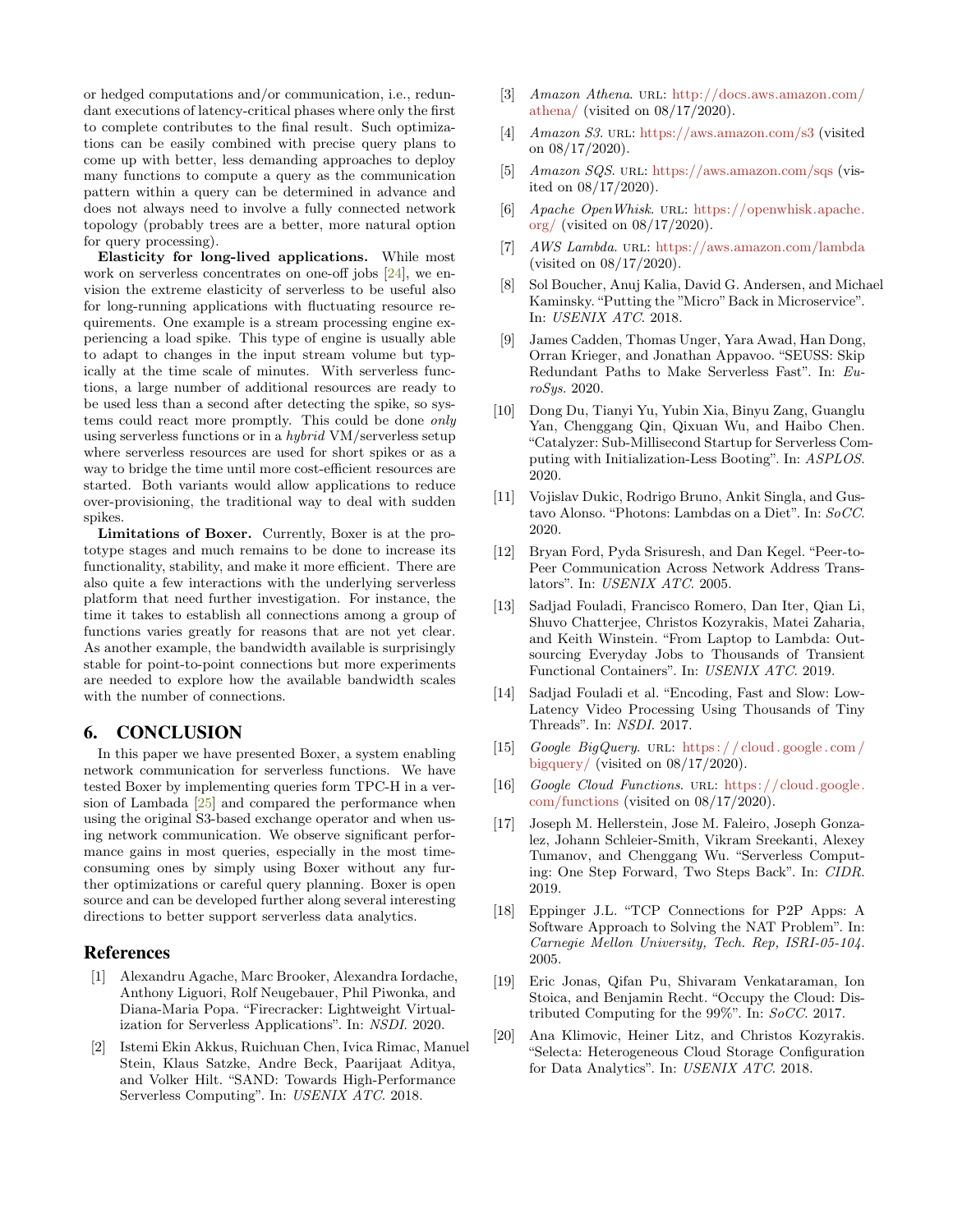or hedged computations and/or communication, i.e., redundant executions of latency-critical phases where only the first to complete contributes to the final result. Such optimizations can be easily combined with precise query plans to come up with better, less demanding approaches to deploy many functions to compute a query as the communication pattern within a query can be determined in advance and does not always need to involve a fully connected network topology (probably trees are a better, more natural option for query processing).

Elasticity for long-lived applications. While most work on serverless concentrates on one-off jobs [\[24\]](#page-7-5), we envision the extreme elasticity of serverless to be useful also for long-running applications with fluctuating resource requirements. One example is a stream processing engine experiencing a load spike. This type of engine is usually able to adapt to changes in the input stream volume but typically at the time scale of minutes. With serverless functions, a large number of additional resources are ready to be used less than a second after detecting the spike, so systems could react more promptly. This could be done only using serverless functions or in a hybrid VM/serverless setup where serverless resources are used for short spikes or as a way to bridge the time until more cost-efficient resources are started. Both variants would allow applications to reduce over-provisioning, the traditional way to deal with sudden spikes.

Limitations of Boxer. Currently, Boxer is at the prototype stages and much remains to be done to increase its functionality, stability, and make it more efficient. There are also quite a few interactions with the underlying serverless platform that need further investigation. For instance, the time it takes to establish all connections among a group of functions varies greatly for reasons that are not yet clear. As another example, the bandwidth available is surprisingly stable for point-to-point connections but more experiments are needed to explore how the available bandwidth scales with the number of connections.

## 6. CONCLUSION

In this paper we have presented Boxer, a system enabling network communication for serverless functions. We have tested Boxer by implementing queries form TPC-H in a version of Lambada [\[25\]](#page-7-2) and compared the performance when using the original S3-based exchange operator and when using network communication. We observe significant performance gains in most queries, especially in the most timeconsuming ones by simply using Boxer without any further optimizations or careful query planning. Boxer is open source and can be developed further along several interesting directions to better support serverless data analytics.

#### References

- <span id="page-6-5"></span>[1] Alexandru Agache, Marc Brooker, Alexandra Iordache, Anthony Liguori, Rolf Neugebauer, Phil Piwonka, and Diana-Maria Popa. "Firecracker: Lightweight Virtualization for Serverless Applications". In: NSDI. 2020.
- <span id="page-6-6"></span>[2] Istemi Ekin Akkus, Ruichuan Chen, Ivica Rimac, Manuel Stein, Klaus Satzke, Andre Beck, Paarijaat Aditya, and Volker Hilt. "SAND: Towards High-Performance Serverless Computing". In: USENIX ATC. 2018.
- <span id="page-6-3"></span>[3] Amazon Athena. URL: [http://docs.aws.amazon.com/](http://docs.aws.amazon.com/athena/) [athena/](http://docs.aws.amazon.com/athena/) (visited on 08/17/2020).
- <span id="page-6-17"></span>[4] Amazon S3. url: <https://aws.amazon.com/s3> (visited on 08/17/2020).
- <span id="page-6-18"></span>[5] Amazon SQS. url: <https://aws.amazon.com/sqs> (visited on 08/17/2020).
- <span id="page-6-2"></span>[6] Apache OpenWhisk. url: [https://openwhisk.apache.](https://openwhisk.apache.org/) [org/](https://openwhisk.apache.org/) (visited on 08/17/2020).
- <span id="page-6-0"></span>[7] AWS Lambda. URL: <https://aws.amazon.com/lambda> (visited on 08/17/2020).
- <span id="page-6-7"></span>[8] Sol Boucher, Anuj Kalia, David G. Andersen, and Michael Kaminsky. "Putting the "Micro"Back in Microservice". In: USENIX ATC. 2018.
- <span id="page-6-8"></span>[9] James Cadden, Thomas Unger, Yara Awad, Han Dong, Orran Krieger, and Jonathan Appavoo. "SEUSS: Skip Redundant Paths to Make Serverless Fast". In: EuroSys. 2020.
- <span id="page-6-9"></span>[10] Dong Du, Tianyi Yu, Yubin Xia, Binyu Zang, Guanglu Yan, Chenggang Qin, Qixuan Wu, and Haibo Chen. "Catalyzer: Sub-Millisecond Startup for Serverless Computing with Initialization-Less Booting". In: ASPLOS. 2020.
- <span id="page-6-10"></span>[11] Vojislav Dukic, Rodrigo Bruno, Ankit Singla, and Gustavo Alonso. "Photons: Lambdas on a Diet". In: SoCC. 2020.
- <span id="page-6-15"></span>[12] Bryan Ford, Pyda Srisuresh, and Dan Kegel. "Peer-to-Peer Communication Across Network Address Translators". In: USENIX ATC. 2005.
- <span id="page-6-13"></span>[13] Sadjad Fouladi, Francisco Romero, Dan Iter, Qian Li, Shuvo Chatterjee, Christos Kozyrakis, Matei Zaharia, and Keith Winstein. "From Laptop to Lambda: Outsourcing Everyday Jobs to Thousands of Transient Functional Containers". In: USENIX ATC. 2019.
- <span id="page-6-12"></span>[14] Sadjad Fouladi et al. "Encoding, Fast and Slow: Low-Latency Video Processing Using Thousands of Tiny Threads". In: NSDI. 2017.
- <span id="page-6-4"></span>[15] Google BigQuery. URL: https://cloud.google.com/ [bigquery/](https://cloud.google.com/bigquery/) (visited on  $08/17/2020$ ).
- <span id="page-6-1"></span>[16] Google Cloud Functions. URL: [https://cloud.google.](https://cloud.google.com/functions) [com/functions](https://cloud.google.com/functions) (visited on 08/17/2020).
- <span id="page-6-14"></span>[17] Joseph M. Hellerstein, Jose M. Faleiro, Joseph Gonzalez, Johann Schleier-Smith, Vikram Sreekanti, Alexey Tumanov, and Chenggang Wu. "Serverless Computing: One Step Forward, Two Steps Back". In: CIDR. 2019.
- <span id="page-6-16"></span>[18] Eppinger J.L. "TCP Connections for P2P Apps: A Software Approach to Solving the NAT Problem". In: Carnegie Mellon University, Tech. Rep, ISRI-05-104. 2005.
- <span id="page-6-11"></span>[19] Eric Jonas, Qifan Pu, Shivaram Venkataraman, Ion Stoica, and Benjamin Recht. "Occupy the Cloud: Distributed Computing for the 99%". In: SoCC. 2017.
- <span id="page-6-19"></span>[20] Ana Klimovic, Heiner Litz, and Christos Kozyrakis. "Selecta: Heterogeneous Cloud Storage Configuration for Data Analytics". In: USENIX ATC. 2018.